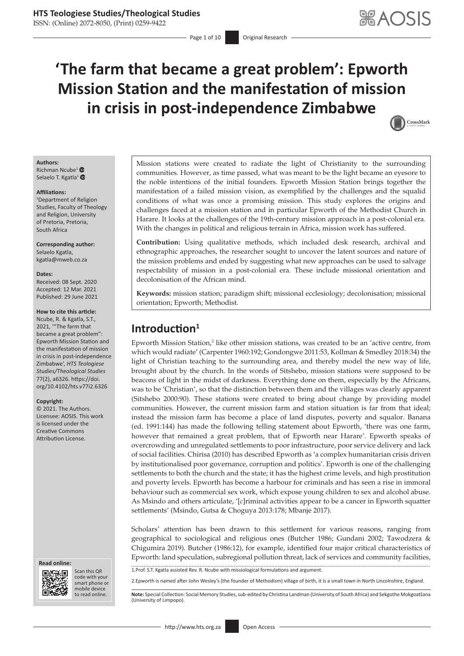ISSN: (Online) 2072-8050, (Print) 0259-9422

# **'The farm that became a great problem': Epworth Mission Station and the manifestation of mission in crisis in post-independence Zimbabwe**



#### **Authors:**

Richman Ncube<sup>[1](https://orcid.org/0000-0002-3964-7704)</sup> <sup>®</sup> Selaelo T. Kgatla<sup>[1](https://orcid.org/0000-0003-2703-3198)</sup> <sup>O</sup>

#### **Affiliations:**

1 Department of Religion Studies, Faculty of Theology and Religion, University of Pretoria, Pretoria, South Africa

### **Corresponding author:**

Selaelo Kgatla, [kgatla@mweb.co.za](mailto:kgatla@mweb.co.za)

#### **Dates:**

Received: 08 Sept. 2020 Accepted: 12 Mar. 2021 Published: 29 June 2021

#### **How to cite this article:**

Ncube, R. & Kgatla, S.T., 2021, '"The farm that became a great problem": Epworth Mission Station and the manifestation of mission in crisis in post-independence Zimbabwe', *HTS Teologiese Studies/Theological Studies* 77(2), a6326. [https://doi.](https://doi.org/10.4102/hts.v77i2.6326) [org/10.4102/hts.v77i2.6326](https://doi.org/10.4102/hts.v77i2.6326)

#### **Copyright:**

© 2021. The Authors. Licensee: AOSIS. This work is licensed under the Creative Commons Attribution License.

#### **Read online: Read online:**



Scan this QR code with your Scan this QR<br>code with your<br>smart phone or<br>mobile device mobile device to read online.

Mission stations were created to radiate the light of Christianity to the surrounding communities. However, as time passed, what was meant to be the light became an eyesore to the noble intentions of the initial founders. Epworth Mission Station brings together the manifestation of a failed mission vision, as exemplified by the challenges and the squalid conditions of what was once a promising mission. This study explores the origins and challenges faced at a mission station and in particular Epworth of the Methodist Church in Harare. It looks at the challenges of the 19th-century mission approach in a post-colonial era. With the changes in political and religious terrain in Africa, mission work has suffered.

**Contribution:** Using qualitative methods, which included desk research, archival and ethnographic approaches, the researcher sought to uncover the latent sources and nature of the mission problems and ended by suggesting what new approaches can be used to salvage respectability of mission in a post-colonial era. These include missional orientation and decolonisation of the African mind.

**Keywords:** mission station; paradigm shift; missional ecclesiology; decolonisation; missional orientation; Epworth; Methodist.

# **Introduction<sup>1</sup>**

Epworth Mission Station,<sup>2</sup> like other mission stations, was created to be an 'active centre, from which would radiate' (Carpenter 1960:192; Gondongwe 2011:53, Kollman & Smedley 2018:34) the light of Christian teaching to the surrounding area, and thereby model the new way of life, brought about by the church. In the words of Sitshebo, mission stations were supposed to be beacons of light in the midst of darkness. Everything done on them, especially by the Africans, was to be 'Christian', so that the distinction between them and the villages was clearly apparent (Sitshebo 2000:90). These stations were created to bring about change by providing model communities. However, the current mission farm and station situation is far from that ideal; instead the mission farm has become a place of land disputes, poverty and squalor. Banana (ed. 1991:144) has made the following telling statement about Epworth, 'there was one farm, however that remained a great problem, that of Epworth near Harare'. Epworth speaks of overcrowding and unregulated settlements to poor infrastructure, poor service delivery and lack of social facilities. Chirisa (2010) has described Epworth as 'a complex humanitarian crisis driven by institutionalised poor governance, corruption and politics'. Epworth is one of the challenging settlements to both the church and the state; it has the highest crime levels, and high prostitution and poverty levels. Epworth has become a harbour for criminals and has seen a rise in immoral behaviour such as commercial sex work, which expose young children to sex and alcohol abuse. As Msindo and others articulate, '[*c*]riminal activities appear to be a cancer in Epworth squatter settlements' (Msindo, Gutsa & Choguya 2013:178; Mbanje 2017).

Scholars' attention has been drawn to this settlement for various reasons, ranging from geographical to sociological and religious ones (Butcher 1986; Gundani 2002; Tawodzera & Chigumira 2019). Butcher (1986:12), for example, identified four major critical characteristics of Epworth: land speculation, subregional pollution threat, lack of services and community facilities, 1.Prof. S.T. Kgatla assisted Rev. R. Ncube with missiological formulations and argument.

2.Epworth is named after John Wesley's (the founder of Methodism) village of birth, it is a small town in North Lincolnshire, England.

Note: Special Collection: Social Memory Studies, sub-edited by Christina Landman (University of South Africa) and Sekgothe Mokgoatšana (University of Limpopo).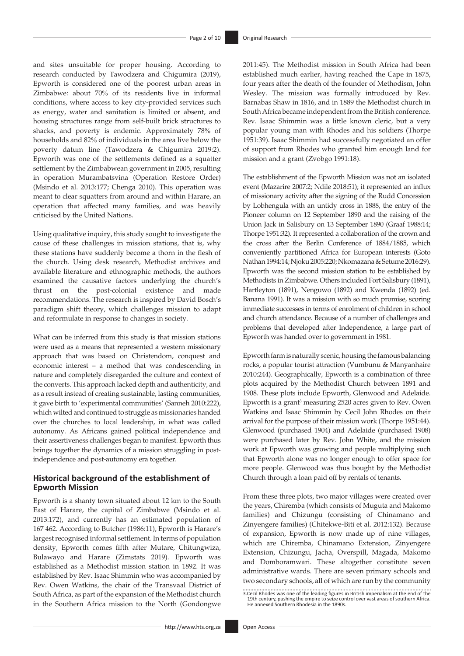and sites unsuitable for proper housing. According to research conducted by Tawodzera and Chigumira (2019), Epworth is considered one of the poorest urban areas in Zimbabwe: about 70% of its residents live in informal conditions, where access to key city-provided services such as energy, water and sanitation is limited or absent, and housing structures range from self-built brick structures to shacks, and poverty is endemic. Approximately 78% of households and 82% of individuals in the area live below the poverty datum line (Tawodzera & Chigumira 2019:2). Epworth was one of the settlements defined as a squatter settlement by the Zimbabwean government in 2005, resulting in operation Murambatsvina (Operation Restore Order) (Msindo et al. 2013:177; Chenga 2010). This operation was meant to clear squatters from around and within Harare, an operation that affected many families, and was heavily criticised by the United Nations.

Using qualitative inquiry, this study sought to investigate the cause of these challenges in mission stations, that is, why these stations have suddenly become a thorn in the flesh of the church. Using desk research, Methodist archives and available literature and ethnographic methods, the authors examined the causative factors underlying the church's thrust on the post-colonial existence and made recommendations. The research is inspired by David Bosch's paradigm shift theory, which challenges mission to adapt and reformulate in response to changes in society.

What can be inferred from this study is that mission stations were used as a means that represented a western missionary approach that was based on Christendom, conquest and economic interest – a method that was condescending in nature and completely disregarded the culture and context of the converts. This approach lacked depth and authenticity, and as a result instead of creating sustainable, lasting communities, it gave birth to 'experimental communities' (Sanneh 2010:222), which wilted and continued to struggle as missionaries handed over the churches to local leadership, in what was called autonomy. As Africans gained political independence and their assertiveness challenges began to manifest. Epworth thus brings together the dynamics of a mission struggling in postindependence and post-autonomy era together.

### **Historical background of the establishment of Epworth Mission**

Epworth is a shanty town situated about 12 km to the South East of Harare, the capital of Zimbabwe (Msindo et al. 2013:172), and currently has an estimated population of 167 462. According to Butcher (1986:11), Epworth is Harare's largest recognised informal settlement. In terms of population density, Epworth comes fifth after Mutare, Chitungwiza, Bulawayo and Harare (Zimstats 2019). Epworth was established as a Methodist mission station in 1892. It was established by Rev. Isaac Shimmin who was accompanied by Rev. Owen Watkins, the chair of the Transvaal District of South Africa, as part of the expansion of the Methodist church in the Southern Africa mission to the North (Gondongwe

2011:45). The Methodist mission in South Africa had been established much earlier, having reached the Cape in 1875, four years after the death of the founder of Methodism, John Wesley. The mission was formally introduced by Rev. Barnabas Shaw in 1816, and in 1889 the Methodist church in South Africa became independent from the British conference. Rev. Isaac Shimmin was a little known cleric, but a very popular young man with Rhodes and his soldiers (Thorpe 1951:39). Isaac Shimmin had successfully negotiated an offer of support from Rhodes who granted him enough land for mission and a grant (Zvobgo 1991:18).

The establishment of the Epworth Mission was not an isolated event (Mazarire 2007:2; Ndile 2018:51); it represented an influx of missionary activity after the signing of the Rudd Concession by Lobhengula with an untidy cross in 1888, the entry of the Pioneer column on 12 September 1890 and the raising of the Union Jack in Salisbury on 13 September 1890 (Graaf 1988:14; Thorpe 1951:32). It represented a collaboration of the crown and the cross after the Berlin Conference of 1884/1885, which conveniently partitioned Africa for European interests (Goto Nathan 1994:14; Njoku 2005:220; Nkomazana & Setume 2016:29). Epworth was the second mission station to be established by Methodists in Zimbabwe. Others included Fort Salisbury (1891), Hartleyton (1891), Nenguwo (1892) and Kwenda (1892) (ed. Banana 1991). It was a mission with so much promise, scoring immediate successes in terms of enrolment of children in school and church attendance. Because of a number of challenges and problems that developed after Independence, a large part of Epworth was handed over to government in 1981.

Epworth farm is naturally scenic, housing the famous balancing rocks, a popular tourist attraction (Vumbunu & Manyanhaire 2010:244). Geographically, Epworth is a combination of three plots acquired by the Methodist Church between 1891 and 1908. These plots include Epworth, Glenwood and Adelaide. Epworth is a grant<sup>3</sup> measuring 2520 acres given to Rev. Owen Watkins and Isaac Shimmin by Cecil John Rhodes on their arrival for the purpose of their mission work (Thorpe 1951:44). Glenwood (purchased 1904) and Adelaide (purchased 1908) were purchased later by Rev. John White, and the mission work at Epworth was growing and people multiplying such that Epworth alone was no longer enough to offer space for more people. Glenwood was thus bought by the Methodist Church through a loan paid off by rentals of tenants.

From these three plots, two major villages were created over the years, Chiremba (which consists of Muguta and Makomo families) and Chizungu (consisting of Chinamano and Zinyengere families) (Chitekwe-Biti et al. 2012:132). Because of expansion, Epworth is now made up of nine villages, which are Chiremba, Chinamano Extension, Zinyengere Extension, Chizungu, Jacha, Overspill, Magada, Makomo and Domboramwari. These altogether constitute seven administrative wards. There are seven primary schools and two secondary schools, all of which are run by the community

<sup>3.</sup>Cecil Rhodes was one of the leading figures in British imperialism at the end of the 19th century, pushing the empire to seize control over vast areas of southern Africa. He annexed Southern Rhodesia in the 1890s.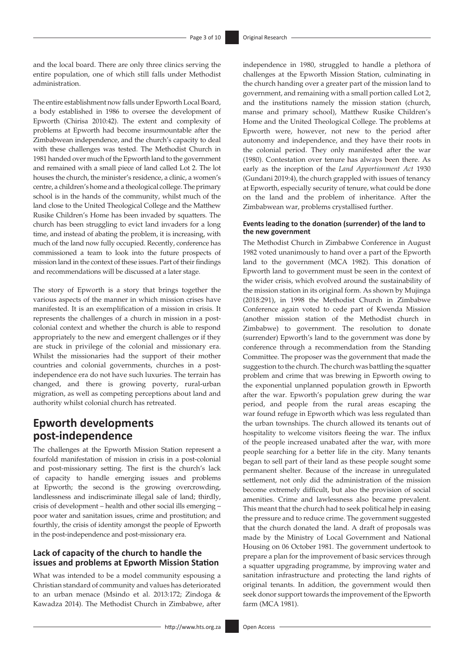and the local board. There are only three clinics serving the entire population, one of which still falls under Methodist administration.

The entire establishment now falls under Epworth Local Board, a body established in 1986 to oversee the development of Epworth (Chirisa 2010:42). The extent and complexity of problems at Epworth had become insurmountable after the Zimbabwean independence, and the church's capacity to deal with these challenges was tested. The Methodist Church in 1981 handed over much of the Epworth land to the government and remained with a small piece of land called Lot 2. The lot houses the church, the minister's residence, a clinic, a women's centre, a children's home and a theological college. The primary school is in the hands of the community, whilst much of the land close to the United Theological College and the Matthew Rusike Children's Home has been invaded by squatters. The church has been struggling to evict land invaders for a long time, and instead of abating the problem, it is increasing, with much of the land now fully occupied. Recently, conference has commissioned a team to look into the future prospects of mission land in the context of these issues. Part of their findings and recommendations will be discussed at a later stage.

The story of Epworth is a story that brings together the various aspects of the manner in which mission crises have manifested. It is an exemplification of a mission in crisis. It represents the challenges of a church in mission in a postcolonial context and whether the church is able to respond appropriately to the new and emergent challenges or if they are stuck in privilege of the colonial and missionary era. Whilst the missionaries had the support of their mother countries and colonial governments, churches in a postindependence era do not have such luxuries. The terrain has changed, and there is growing poverty, rural-urban migration, as well as competing perceptions about land and authority whilst colonial church has retreated.

# **Epworth developments post-independence**

The challenges at the Epworth Mission Station represent a fourfold manifestation of mission in crisis in a post-colonial and post-missionary setting. The first is the church's lack of capacity to handle emerging issues and problems at Epworth; the second is the growing overcrowding, landlessness and indiscriminate illegal sale of land; thirdly, crisis of development – health and other social ills emerging – poor water and sanitation issues, crime and prostitution; and fourthly, the crisis of identity amongst the people of Epworth in the post-independence and post-missionary era.

### **Lack of capacity of the church to handle the issues and problems at Epworth Mission Station**

What was intended to be a model community espousing a Christian standard of community and values has deteriorated to an urban menace (Msindo et al. 2013:172; Zindoga & Kawadza 2014). The Methodist Church in Zimbabwe, after independence in 1980, struggled to handle a plethora of challenges at the Epworth Mission Station, culminating in the church handing over a greater part of the mission land to government, and remaining with a small portion called Lot 2, and the institutions namely the mission station (church, manse and primary school), Matthew Rusike Children's Home and the United Theological College. The problems at Epworth were, however, not new to the period after autonomy and independence, and they have their roots in the colonial period. They only manifested after the war (1980). Contestation over tenure has always been there. As early as the inception of the *Land Apportionment Act* 1930 (Gundani 2019:4), the church grappled with issues of tenancy at Epworth, especially security of tenure, what could be done on the land and the problem of inheritance. After the Zimbabwean war, problems crystallised further.

#### **Events leading to the donation (surrender) of the land to the new government**

The Methodist Church in Zimbabwe Conference in August 1982 voted unanimously to hand over a part of the Epworth land to the government (MCA 1982). This donation of Epworth land to government must be seen in the context of the wider crisis, which evolved around the sustainability of the mission station in its original form. As shown by Mujinga (2018:291), in 1998 the Methodist Church in Zimbabwe Conference again voted to cede part of Kwenda Mission (another mission station of the Methodist church in Zimbabwe) to government. The resolution to donate (surrender) Epworth's land to the government was done by conference through a recommendation from the Standing Committee. The proposer was the government that made the suggestion to the church. The church was battling the squatter problem and crime that was brewing in Epworth owing to the exponential unplanned population growth in Epworth after the war. Epworth's population grew during the war period, and people from the rural areas escaping the war found refuge in Epworth which was less regulated than the urban townships. The church allowed its tenants out of hospitality to welcome visitors fleeing the war. The influx of the people increased unabated after the war, with more people searching for a better life in the city. Many tenants began to sell part of their land as these people sought some permanent shelter. Because of the increase in unregulated settlement, not only did the administration of the mission become extremely difficult, but also the provision of social amenities. Crime and lawlessness also became prevalent. This meant that the church had to seek political help in easing the pressure and to reduce crime. The government suggested that the church donated the land. A draft of proposals was made by the Ministry of Local Government and National Housing on 06 October 1981. The government undertook to prepare a plan for the improvement of basic services through a squatter upgrading programme, by improving water and sanitation infrastructure and protecting the land rights of original tenants. In addition, the government would then seek donor support towards the improvement of the Epworth farm (MCA 1981).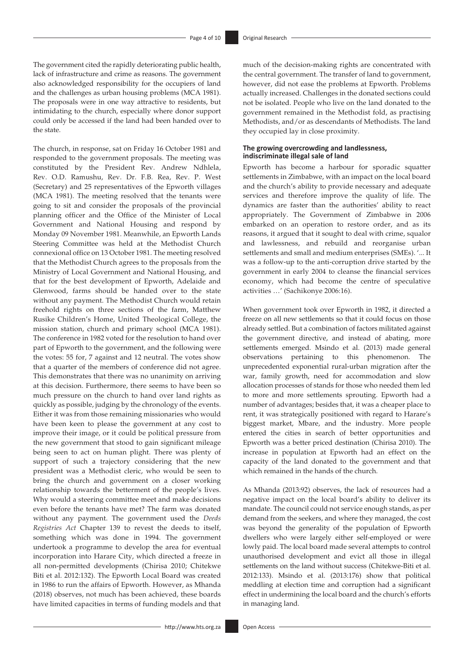The government cited the rapidly deteriorating public health, lack of infrastructure and crime as reasons. The government also acknowledged responsibility for the occupiers of land and the challenges as urban housing problems (MCA 1981). The proposals were in one way attractive to residents, but intimidating to the church, especially where donor support could only be accessed if the land had been handed over to the state.

The church, in response, sat on Friday 16 October 1981 and responded to the government proposals. The meeting was constituted by the President Rev. Andrew Ndhlela, Rev. O.D. Ramushu, Rev. Dr. F.B. Rea, Rev. P. West (Secretary) and 25 representatives of the Epworth villages (MCA 1981). The meeting resolved that the tenants were going to sit and consider the proposals of the provincial planning officer and the Office of the Minister of Local Government and National Housing and respond by Monday 09 November 1981. Meanwhile, an Epworth Lands Steering Committee was held at the Methodist Church connexional office on 13 October 1981. The meeting resolved that the Methodist Church agrees to the proposals from the Ministry of Local Government and National Housing, and that for the best development of Epworth, Adelaide and Glenwood, farms should be handed over to the state without any payment. The Methodist Church would retain freehold rights on three sections of the farm, Matthew Rusike Children's Home, United Theological College, the mission station, church and primary school (MCA 1981). The conference in 1982 voted for the resolution to hand over part of Epworth to the government, and the following were the votes: 55 for, 7 against and 12 neutral. The votes show that a quarter of the members of conference did not agree. This demonstrates that there was no unanimity on arriving at this decision. Furthermore, there seems to have been so much pressure on the church to hand over land rights as quickly as possible, judging by the chronology of the events. Either it was from those remaining missionaries who would have been keen to please the government at any cost to improve their image, or it could be political pressure from the new government that stood to gain significant mileage being seen to act on human plight. There was plenty of support of such a trajectory considering that the new president was a Methodist cleric, who would be seen to bring the church and government on a closer working relationship towards the betterment of the people's lives. Why would a steering committee meet and make decisions even before the tenants have met? The farm was donated without any payment. The government used the *Deeds Registries Act* Chapter 139 to revest the deeds to itself, something which was done in 1994. The government undertook a programme to develop the area for eventual incorporation into Harare City, which directed a freeze in all non-permitted developments (Chirisa 2010; Chitekwe Biti et al. 2012:132). The Epworth Local Board was created in 1986 to run the affairs of Epworth. However, as Mhanda (2018) observes, not much has been achieved, these boards have limited capacities in terms of funding models and that much of the decision-making rights are concentrated with the central government. The transfer of land to government, however, did not ease the problems at Epworth. Problems actually increased. Challenges in the donated sections could not be isolated. People who live on the land donated to the government remained in the Methodist fold, as practising Methodists, and/or as descendants of Methodists. The land they occupied lay in close proximity.

#### **The growing overcrowding and landlessness, indiscriminate illegal sale of land**

Epworth has become a harbour for sporadic squatter settlements in Zimbabwe, with an impact on the local board and the church's ability to provide necessary and adequate services and therefore improve the quality of life. The dynamics are faster than the authorities' ability to react appropriately. The Government of Zimbabwe in 2006 embarked on an operation to restore order, and as its reasons, it argued that it sought to deal with crime, squalor and lawlessness, and rebuild and reorganise urban settlements and small and medium enterprises (SMEs). '... It was a follow-up to the anti-corruption drive started by the government in early 2004 to cleanse the financial services economy, which had become the centre of speculative activities …' (Sachikonye 2006:16).

When government took over Epworth in 1982, it directed a freeze on all new settlements so that it could focus on those already settled. But a combination of factors militated against the government directive, and instead of abating, more settlements emerged. Msindo et al. (2013) made general observations pertaining to this phenomenon. The unprecedented exponential rural-urban migration after the war, family growth, need for accommodation and slow allocation processes of stands for those who needed them led to more and more settlements sprouting. Epworth had a number of advantages; besides that, it was a cheaper place to rent, it was strategically positioned with regard to Harare's biggest market, Mbare, and the industry. More people entered the cities in search of better opportunities and Epworth was a better priced destination (Chirisa 2010). The increase in population at Epworth had an effect on the capacity of the land donated to the government and that which remained in the hands of the church.

As Mhanda (2013:92) observes, the lack of resources had a negative impact on the local board's ability to deliver its mandate. The council could not service enough stands, as per demand from the seekers, and where they managed, the cost was beyond the generality of the population of Epworth dwellers who were largely either self-employed or were lowly paid. The local board made several attempts to control unauthorised development and evict all those in illegal settlements on the land without success (Chitekwe-Biti et al. 2012:133). Msindo et al. (2013:176) show that political meddling at election time and corruption had a significant effect in undermining the local board and the church's efforts in managing land.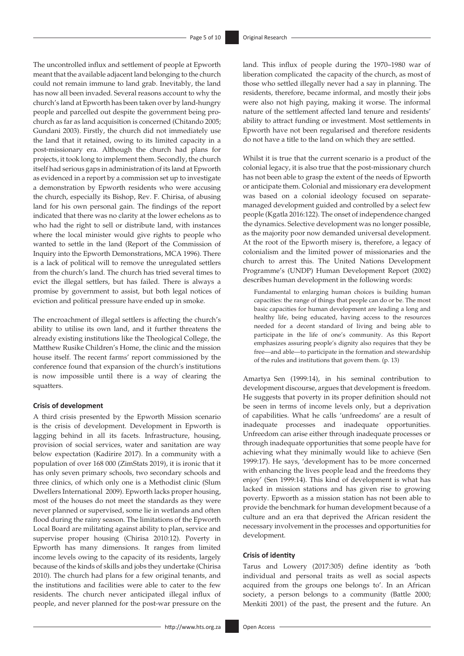The uncontrolled influx and settlement of people at Epworth meant that the available adjacent land belonging to the church could not remain immune to land grab. Inevitably, the land has now all been invaded. Several reasons account to why the church's land at Epworth has been taken over by land-hungry people and parcelled out despite the government being prochurch as far as land acquisition is concerned (Chitando 2005; Gundani 2003). Firstly, the church did not immediately use the land that it retained, owing to its limited capacity in a post-missionary era. Although the church had plans for projects, it took long to implement them. Secondly, the church itself had serious gaps in administration of its land at Epworth as evidenced in a report by a commission set up to investigate a demonstration by Epworth residents who were accusing the church, especially its Bishop, Rev. F. Chirisa, of abusing land for his own personal gain. The findings of the report indicated that there was no clarity at the lower echelons as to who had the right to sell or distribute land, with instances where the local minister would give rights to people who wanted to settle in the land (Report of the Commission of Inquiry into the Epworth Demonstrations, MCA 1996). There is a lack of political will to remove the unregulated settlers from the church's land. The church has tried several times to evict the illegal settlers, but has failed. There is always a promise by government to assist, but both legal notices of eviction and political pressure have ended up in smoke.

The encroachment of illegal settlers is affecting the church's ability to utilise its own land, and it further threatens the already existing institutions like the Theological College, the Matthew Rusike Children's Home, the clinic and the mission house itself. The recent farms' report commissioned by the conference found that expansion of the church's institutions is now impossible until there is a way of clearing the squatters.

#### **Crisis of development**

A third crisis presented by the Epworth Mission scenario is the crisis of development. Development in Epworth is lagging behind in all its facets. Infrastructure, housing, provision of social services, water and sanitation are way below expectation (Kadirire 2017). In a community with a population of over 168 000 (ZimStats 2019), it is ironic that it has only seven primary schools, two secondary schools and three clinics, of which only one is a Methodist clinic (Slum Dwellers International 2009). Epworth lacks proper housing, most of the houses do not meet the standards as they were never planned or supervised, some lie in wetlands and often flood during the rainy season. The limitations of the Epworth Local Board are militating against ability to plan, service and supervise proper housing (Chirisa 2010:12). Poverty in Epworth has many dimensions. It ranges from limited income levels owing to the capacity of its residents, largely because of the kinds of skills and jobs they undertake (Chirisa 2010). The church had plans for a few original tenants, and the institutions and facilities were able to cater to the few residents. The church never anticipated illegal influx of people, and never planned for the post-war pressure on the

land. This influx of people during the 1970–1980 war of liberation complicated the capacity of the church, as most of those who settled illegally never had a say in planning. The residents, therefore, became informal, and mostly their jobs were also not high paying, making it worse. The informal nature of the settlement affected land tenure and residents' ability to attract funding or investment. Most settlements in Epworth have not been regularised and therefore residents do not have a title to the land on which they are settled.

Whilst it is true that the current scenario is a product of the colonial legacy, it is also true that the post-missionary church has not been able to grasp the extent of the needs of Epworth or anticipate them. Colonial and missionary era development was based on a colonial ideology focused on separatemanaged development guided and controlled by a select few people (Kgatla 2016:122). The onset of independence changed the dynamics. Selective development was no longer possible, as the majority poor now demanded universal development. At the root of the Epworth misery is, therefore, a legacy of colonialism and the limited power of missionaries and the church to arrest this. The United Nations Development Programme's (UNDP) Human Development Report (2002) describes human development in the following words:

Fundamental to enlarging human choices is building human capacities: the range of things that people can do or be. The most basic capacities for human development are leading a long and healthy life, being educated, having access to the resources needed for a decent standard of living and being able to participate in the life of one's community. As this Report emphasizes assuring people's dignity also requires that they be free—and able—to participate in the formation and stewardship of the rules and institutions that govern them. (p. 13)

Amartya Sen (1999:14), in his seminal contribution to development discourse, argues that development is freedom. He suggests that poverty in its proper definition should not be seen in terms of income levels only, but a deprivation of capabilities. What he calls 'unfreedoms' are a result of inadequate processes and inadequate opportunities. Unfreedom can arise either through inadequate processes or through inadequate opportunities that some people have for achieving what they minimally would like to achieve (Sen 1999:17). He says, 'development has to be more concerned with enhancing the lives people lead and the freedoms they enjoy' (Sen 1999:14). This kind of development is what has lacked in mission stations and has given rise to growing poverty. Epworth as a mission station has not been able to provide the benchmark for human development because of a culture and an era that deprived the African resident the necessary involvement in the processes and opportunities for development.

### **Crisis of identity**

Tarus and Lowery (2017:305) define identity as 'both individual and personal traits as well as social aspects acquired from the groups one belongs to'. In an African society, a person belongs to a community (Battle 2000; Menkiti 2001) of the past, the present and the future. An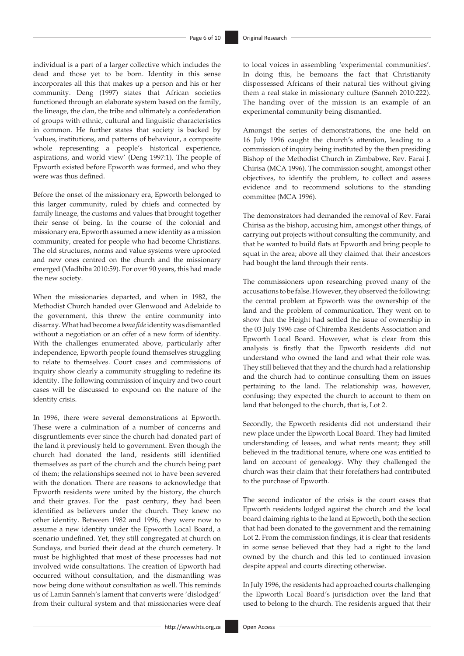individual is a part of a larger collective which includes the dead and those yet to be born. Identity in this sense incorporates all this that makes up a person and his or her community. Deng (1997) states that African societies functioned through an elaborate system based on the family, the lineage, the clan, the tribe and ultimately a confederation of groups with ethnic, cultural and linguistic characteristics in common. He further states that society is backed by 'values, institutions, and patterns of behaviour, a composite whole representing a people's historical experience, aspirations, and world view' (Deng 1997:1). The people of Epworth existed before Epworth was formed, and who they were was thus defined.

Before the onset of the missionary era, Epworth belonged to this larger community, ruled by chiefs and connected by family lineage, the customs and values that brought together their sense of being. In the course of the colonial and missionary era, Epworth assumed a new identity as a mission community, created for people who had become Christians. The old structures, norms and value systems were uprooted and new ones centred on the church and the missionary emerged (Madhiba 2010:59). For over 90 years, this had made the new society.

When the missionaries departed, and when in 1982, the Methodist Church handed over Glenwood and Adelaide to the government, this threw the entire community into disarray. What had become a *bona fide* identity was dismantled without a negotiation or an offer of a new form of identity. With the challenges enumerated above, particularly after independence, Epworth people found themselves struggling to relate to themselves. Court cases and commissions of inquiry show clearly a community struggling to redefine its identity. The following commission of inquiry and two court cases will be discussed to expound on the nature of the identity crisis.

In 1996, there were several demonstrations at Epworth. These were a culmination of a number of concerns and disgruntlements ever since the church had donated part of the land it previously held to government. Even though the church had donated the land, residents still identified themselves as part of the church and the church being part of them; the relationships seemed not to have been severed with the donation. There are reasons to acknowledge that Epworth residents were united by the history, the church and their graves. For the past century, they had been identified as believers under the church. They knew no other identity. Between 1982 and 1996, they were now to assume a new identity under the Epworth Local Board, a scenario undefined. Yet, they still congregated at church on Sundays, and buried their dead at the church cemetery. It must be highlighted that most of these processes had not involved wide consultations. The creation of Epworth had occurred without consultation, and the dismantling was now being done without consultation as well. This reminds us of Lamin Sanneh's lament that converts were 'dislodged' from their cultural system and that missionaries were deaf to local voices in assembling 'experimental communities'. In doing this, he bemoans the fact that Christianity dispossessed Africans of their natural ties without giving them a real stake in missionary culture (Sanneh 2010:222). The handing over of the mission is an example of an experimental community being dismantled.

Amongst the series of demonstrations, the one held on 16 July 1996 caught the church's attention, leading to a commission of inquiry being instituted by the then presiding Bishop of the Methodist Church in Zimbabwe, Rev. Farai J. Chirisa (MCA 1996). The commission sought, amongst other objectives, to identify the problem, to collect and assess evidence and to recommend solutions to the standing committee (MCA 1996).

The demonstrators had demanded the removal of Rev. Farai Chirisa as the bishop, accusing him, amongst other things, of carrying out projects without consulting the community, and that he wanted to build flats at Epworth and bring people to squat in the area; above all they claimed that their ancestors had bought the land through their rents.

The commissioners upon researching proved many of the accusations to be false. However, they observed the following: the central problem at Epworth was the ownership of the land and the problem of communication. They went on to show that the Height had settled the issue of ownership in the 03 July 1996 case of Chiremba Residents Association and Epworth Local Board. However, what is clear from this analysis is firstly that the Epworth residents did not understand who owned the land and what their role was. They still believed that they and the church had a relationship and the church had to continue consulting them on issues pertaining to the land. The relationship was, however, confusing; they expected the church to account to them on land that belonged to the church, that is, Lot 2.

Secondly, the Epworth residents did not understand their new place under the Epworth Local Board. They had limited understanding of leases, and what rents meant; they still believed in the traditional tenure, where one was entitled to land on account of genealogy. Why they challenged the church was their claim that their forefathers had contributed to the purchase of Epworth.

The second indicator of the crisis is the court cases that Epworth residents lodged against the church and the local board claiming rights to the land at Epworth, both the section that had been donated to the government and the remaining Lot 2. From the commission findings, it is clear that residents in some sense believed that they had a right to the land owned by the church and this led to continued invasion despite appeal and courts directing otherwise.

In July 1996, the residents had approached courts challenging the Epworth Local Board's jurisdiction over the land that used to belong to the church. The residents argued that their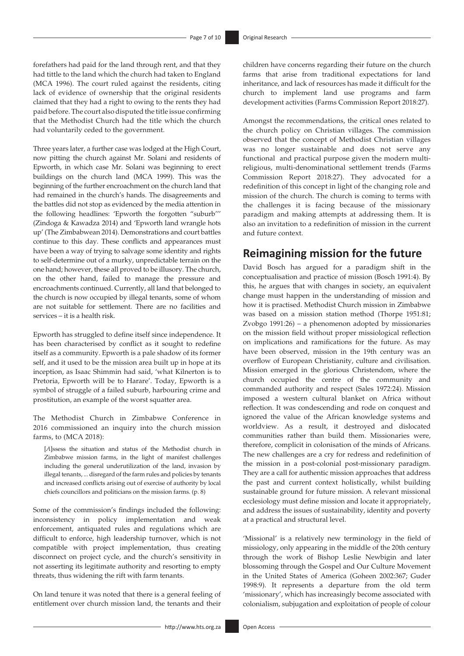forefathers had paid for the land through rent, and that they had tittle to the land which the church had taken to England (MCA 1996). The court ruled against the residents, citing lack of evidence of ownership that the original residents claimed that they had a right to owing to the rents they had paid before. The court also disputed the title issue confirming that the Methodist Church had the title which the church had voluntarily ceded to the government.

Three years later, a further case was lodged at the High Court, now pitting the church against Mr. Solani and residents of Epworth, in which case Mr. Solani was beginning to erect buildings on the church land (MCA 1999). This was the beginning of the further encroachment on the church land that had remained in the church's hands. The disagreements and the battles did not stop as evidenced by the media attention in the following headlines: 'Epworth the forgotten "suburb''' (Zindoga & Kawadza 2014) and 'Epworth land wrangle hots up' (The Zimbabwean 2014). Demonstrations and court battles continue to this day. These conflicts and appearances must have been a way of trying to salvage some identity and rights to self-determine out of a murky, unpredictable terrain on the one hand; however, these all proved to be illusory. The church, on the other hand, failed to manage the pressure and encroachments continued. Currently, all land that belonged to the church is now occupied by illegal tenants, some of whom are not suitable for settlement. There are no facilities and services – it is a health risk.

Epworth has struggled to define itself since independence. It has been characterised by conflict as it sought to redefine itself as a community. Epworth is a pale shadow of its former self, and it used to be the mission area built up in hope at its inception, as Isaac Shimmin had said, 'what Kilnerton is to Pretoria, Epworth will be to Harare'. Today, Epworth is a symbol of struggle of a failed suburb, harbouring crime and prostitution, an example of the worst squatter area.

The Methodist Church in Zimbabwe Conference in 2016 commissioned an inquiry into the church mission farms, to (MCA 2018):

[*A*]ssess the situation and status of the Methodist church in Zimbabwe mission farms, in the light of manifest challenges including the general underutilization of the land, invasion by illegal tenants, ... disregard of the farm rules and policies by tenants and increased conflicts arising out of exercise of authority by local chiefs councillors and politicians on the mission farms. (p. 8)

Some of the commission's findings included the following: inconsistency in policy implementation and weak enforcement, antiquated rules and regulations which are difficult to enforce, high leadership turnover, which is not compatible with project implementation, thus creating disconnect on project cycle, and the church's sensitivity in not asserting its legitimate authority and resorting to empty threats, thus widening the rift with farm tenants.

On land tenure it was noted that there is a general feeling of entitlement over church mission land, the tenants and their

children have concerns regarding their future on the church farms that arise from traditional expectations for land inheritance, and lack of resources has made it difficult for the church to implement land use programs and farm development activities (Farms Commission Report 2018:27).

Amongst the recommendations, the critical ones related to the church policy on Christian villages. The commission observed that the concept of Methodist Christian villages was no longer sustainable and does not serve any functional and practical purpose given the modern multireligious, multi-denominational settlement trends (Farms Commission Report 2018:27). They advocated for a redefinition of this concept in light of the changing role and mission of the church. The church is coming to terms with the challenges it is facing because of the missionary paradigm and making attempts at addressing them. It is also an invitation to a redefinition of mission in the current and future context.

# **Reimagining mission for the future**

David Bosch has argued for a paradigm shift in the conceptualisation and practice of mission (Bosch 1991:4). By this, he argues that with changes in society, an equivalent change must happen in the understanding of mission and how it is practised. Methodist Church mission in Zimbabwe was based on a mission station method (Thorpe 1951:81; Zvobgo 1991:26) – a phenomenon adopted by missionaries on the mission field without proper missiological reflection on implications and ramifications for the future. As may have been observed, mission in the 19th century was an overflow of European Christianity, culture and civilisation. Mission emerged in the glorious Christendom, where the church occupied the centre of the community and commanded authority and respect (Sales 1972:24). Mission imposed a western cultural blanket on Africa without reflection. It was condescending and rode on conquest and ignored the value of the African knowledge systems and worldview. As a result, it destroyed and dislocated communities rather than build them. Missionaries were, therefore, complicit in colonisation of the minds of Africans. The new challenges are a cry for redress and redefinition of the mission in a post-colonial post-missionary paradigm. They are a call for authentic mission approaches that address the past and current context holistically, whilst building sustainable ground for future mission. A relevant missional ecclesiology must define mission and locate it appropriately, and address the issues of sustainability, identity and poverty at a practical and structural level.

'Missional' is a relatively new terminology in the field of missiology, only appearing in the middle of the 20th century through the work of Bishop Leslie Newbigin and later blossoming through the Gospel and Our Culture Movement in the United States of America (Goheen 2002:367; Guder 1998:9). It represents a departure from the old term 'missionary', which has increasingly become associated with colonialism, subjugation and exploitation of people of colour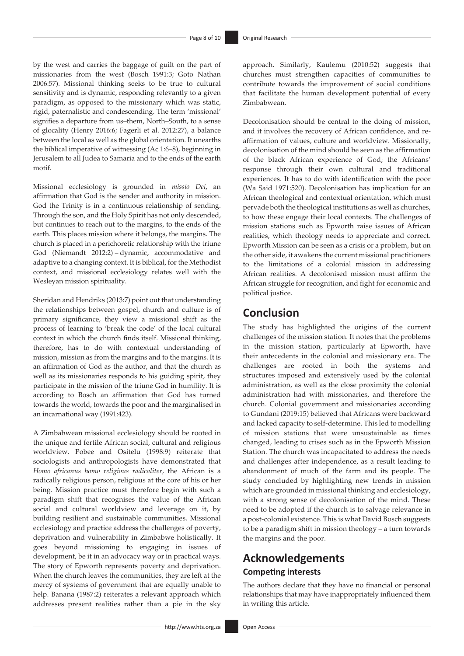by the west and carries the baggage of guilt on the part of missionaries from the west (Bosch 1991:3; Goto Nathan 2006:57). Missional thinking seeks to be true to cultural sensitivity and is dynamic, responding relevantly to a given paradigm, as opposed to the missionary which was static, rigid, paternalistic and condescending. The term 'missional' signifies a departure from us–them, North–South, to a sense of glocality (Henry 2016:6; Fagerli et al. 2012:27), a balance between the local as well as the global orientation. It unearths the biblical imperative of witnessing (Ac 1:6–8), beginning in Jerusalem to all Judea to Samaria and to the ends of the earth motif.

Missional ecclesiology is grounded in *missio Dei*, an affirmation that God is the sender and authority in mission. God the Trinity is in a continuous relationship of sending. Through the son, and the Holy Spirit has not only descended, but continues to reach out to the margins, to the ends of the earth. This places mission where it belongs, the margins. The church is placed in a perichoretic relationship with the triune God (Niemandt 2012:2) – dynamic, accommodative and adaptive to a changing context. It is biblical, for the Methodist context, and missional ecclesiology relates well with the Wesleyan mission spirituality.

Sheridan and Hendriks (2013:7) point out that understanding the relationships between gospel, church and culture is of primary significance, they view a missional shift as the process of learning to 'break the code' of the local cultural context in which the church finds itself. Missional thinking, therefore, has to do with contextual understanding of mission, mission as from the margins and to the margins. It is an affirmation of God as the author, and that the church as well as its missionaries responds to his guiding spirit, they participate in the mission of the triune God in humility. It is according to Bosch an affirmation that God has turned towards the world, towards the poor and the marginalised in an incarnational way (1991:423).

A Zimbabwean missional ecclesiology should be rooted in the unique and fertile African social, cultural and religious worldview. Pobee and Ositelu (1998:9) reiterate that sociologists and anthropologists have demonstrated that *Homo africanus homo religious radicaliter*, the African is a radically religious person, religious at the core of his or her being. Mission practice must therefore begin with such a paradigm shift that recognises the value of the African social and cultural worldview and leverage on it, by building resilient and sustainable communities. Missional ecclesiology and practice address the challenges of poverty, deprivation and vulnerability in Zimbabwe holistically. It goes beyond missioning to engaging in issues of development, be it in an advocacy way or in practical ways. The story of Epworth represents poverty and deprivation. When the church leaves the communities, they are left at the mercy of systems of government that are equally unable to help. Banana (1987:2) reiterates a relevant approach which addresses present realities rather than a pie in the sky

approach. Similarly, Kaulemu (2010:52) suggests that churches must strengthen capacities of communities to contribute towards the improvement of social conditions that facilitate the human development potential of every Zimbabwean.

Decolonisation should be central to the doing of mission, and it involves the recovery of African confidence, and reaffirmation of values, culture and worldview. Missionally, decolonisation of the mind should be seen as the affirmation of the black African experience of God; the Africans' response through their own cultural and traditional experiences. It has to do with identification with the poor (Wa Said 1971:520). Decolonisation has implication for an African theological and contextual orientation, which must pervade both the theological institutions as well as churches, to how these engage their local contexts. The challenges of mission stations such as Epworth raise issues of African realities, which theology needs to appreciate and correct. Epworth Mission can be seen as a crisis or a problem, but on the other side, it awakens the current missional practitioners to the limitations of a colonial mission in addressing African realities. A decolonised mission must affirm the African struggle for recognition, and fight for economic and political justice.

# **Conclusion**

The study has highlighted the origins of the current challenges of the mission station. It notes that the problems in the mission station, particularly at Epworth, have their antecedents in the colonial and missionary era. The challenges are rooted in both the systems and structures imposed and extensively used by the colonial administration, as well as the close proximity the colonial administration had with missionaries, and therefore the church. Colonial government and missionaries according to Gundani (2019:15) believed that Africans were backward and lacked capacity to self-determine. This led to modelling of mission stations that were unsustainable as times changed, leading to crises such as in the Epworth Mission Station. The church was incapacitated to address the needs and challenges after independence, as a result leading to abandonment of much of the farm and its people. The study concluded by highlighting new trends in mission which are grounded in missional thinking and ecclesiology, with a strong sense of decolonisation of the mind. These need to be adopted if the church is to salvage relevance in a post-colonial existence. This is what David Bosch suggests to be a paradigm shift in mission theology – a turn towards the margins and the poor.

# **Acknowledgements Competing interests**

The authors declare that they have no financial or personal relationships that may have inappropriately influenced them in writing this article.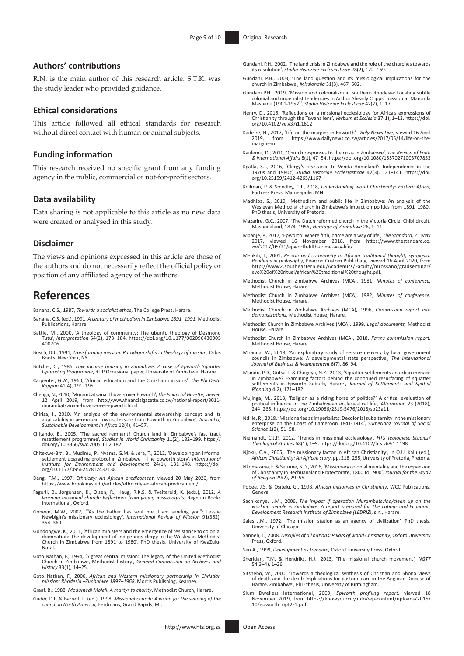### **Authors' contributions**

R.N. is the main author of this research article. S.T.K. was the study leader who provided guidance.

### **Ethical considerations**

This article followed all ethical standards for research without direct contact with human or animal subjects.

#### **Funding information**

This research received no specific grant from any funding agency in the public, commercial or not-for-profit sectors.

### **Data availability**

Data sharing is not applicable to this article as no new data were created or analysed in this study.

#### **Disclaimer**

The views and opinions expressed in this article are those of the authors and do not necessarily reflect the official policy or position of any affiliated agency of the authors.

## **References**

Banana, C.S., 1987, *Towards a socialist ethos*, The College Press, Harare.

- Banana, C.S. (ed.), 1991, *A century of methodism in Zimbabwe 1891–1991*, Methodist Publications, Harare.
- Battle, M., 2000, 'A theology of community: The ubuntu theology of Desmond Tutu', *Interpretation* 54(2), 173–184. [https://doi.org/10.1177/002096430005](https://doi.org/10.1177/​002096430005​400206) [400206](https://doi.org/10.1177/​002096430005​400206)
- Bosch, D.J., 1991, *Transforming mission: Paradigm shifts in theology of mission*, Orbis Books, New York, NY.
- Butcher, C., 1986, *Low income housing in Zimbabwe: A case of Epworth Squatter Upgrading Programme*, RUP Occasional paper, University of Zimbabwe, Harare.
- Carpenter, G.W., 1960, 'African education and the Christian missions', *The Phi Delta Kappan* 41(4), 191–195.
- Chenga, N., 2010, 'Murambatsvina II hovers over Epworth', *The Financial Gazette*, viewed 12 April 2019, from [http://www.financialgazette.co.zw/national-report/3011](http://www.financialgazette.co.zw/national-report/3011-murambatsvina-ii-hovers-over-epworth.html) [murambatsvina-ii-hovers-over-epworth.html](http://www.financialgazette.co.zw/national-report/3011-murambatsvina-ii-hovers-over-epworth.html).
- Chirisa, I., 2010, 'An analysis of the environmental stewardship concept and its applicability in peri-urban towns: Lessons from Epworth in Zimbabwe', Journal of *Sustainable Development in Africa* 12(4), 41–57.
- Chitando, E., 2005, 'The sacred remnant? Church land in Zimbabwe's fast track resettlement programme', *Studies in World Christianity* 11(2), 182–199. [https://](https://doi.org/10.3366/swc.2005.11.2.182) [doi.org/10.3366/swc.2005.11.2.182](https://doi.org/10.3366/swc.2005.11.2.182)
- Chitekwe-Biti, B., Mudimu, P., Nyama, G.M. & Jera, T., 2012, 'Developing an informal settlement upgrading protocol in Zimbabwe − The Epworth story', *International Institute for Environment and Development* 24(1), 131–148. [https://doi.](https://doi.org/10.1177/0956247812437138) [org/10.1177/0956247812437138](https://doi.org/10.1177/0956247812437138)
- Deng, F.M., 1997, *Ethnicity: An African predicament*, viewed 20 May 2020, from <https://www.brookings.edu/articles/ethnicity-an-african-predicament/>.
- Fagerli, B., Jørgensen, K., Olsen, R., Haug, R.K.S. & Tveitereid, K. (eds.), 2012, *A learning missional church: Reflections from young missiologists*, Regnum Books International, Oxford.
- Goheen, M.W., 2002, '"As the Father has sent me, I am sending you": Lesslie Newbigin's missionary ecclesiology', *International Review of Mission* 91(362), 354–369.
- Gondongwe, K., 2011, 'African ministers and the emergence of resistance to colonial domination: The development of indigenous clergy in the Wesleyan Methodist Church in Zimbabwe from 1891 to 1980', PhD thesis, University of KwaZulu-Natal.
- Goto Nathan, F., 1994, 'A great central mission: The legacy of the United Methodist Church in Zimbabwe, Methodist history', *General Commission on Archives and History* 33(1), 14–25.
- Goto Nathan, F., 2006, *African and Western missionary partnership in Christian mission: Rhodesia –Zimbabwe 1897–1968*, Morris Publishing, Kearney.

Graaf, B., 1988, *Modumedi Moleli: A martyr to charity*, Methodist Church, Harare.

Guder, D.L. & Barrett, L. (ed.), 1998, *Missional church: A vision for the sending of the church in North America,* Eerdmans, Grand Rapids, MI.

- Gundani, P.H., 2002, 'The land crisis in Zimbabwe and the role of the churches towards its resolution', *Studia Historiae Ecclesiasticae* 28(2), 122–169.
- Gundani, P.H., 2003, 'The land question and its missiological implications for the church in Zimbabwe', *Missionalia* 31(3), 467–502.
- Gundani P.H., 2019, 'Mission and colonialism in Southern Rhodesia: Locating subtle colonial and imperialist tendencies in Arthur Shearly Cripps' mission at Maronda Mashanu (1901-1952)', *Studia Historiae Ecclesticae* 42(2), 1–17.
- Henry, D., 2016, 'Reflections on a missional ecclesiology for Africa's expressions of Christianity through the Tswana lens', *Verbum et Ecclesia* 37(1), 1–13. [https://doi.](https://doi.org/10.4102/ve.v37i1.1612) [org/10.4102/ve.v37i1.1612](https://doi.org/10.4102/ve.v37i1.1612)
- Kadirire, H., 2017, 'Life on the margins in Epworth', *Daily News Live*, viewed 16 April [https://www.dailynews.co.zw/articles/2017/05/14/life-on-the](https://www.dailynews.co.zw/articles/2017/05/14/life-on-the-margins-in)[margins-in](https://www.dailynews.co.zw/articles/2017/05/14/life-on-the-margins-in).
- Kaulemu, D., 2010, 'Church responses to the crisis in Zimbabwe', *The Review of Faith & International Affairs* 8(1), 47–54.<https://doi.org/10.1080/15570271003707853>
- Kgatla, S.T., 2016, 'Clergy's resistance to Venda Homeland's Independence in the 1970s and 1980s', *Studia Historiae Ecclesiasticae* 42(3), 121–141. [https://doi.](https://doi.org/10.25159/2412-4265/1167) [org/10.25159/2412-4265/1167](https://doi.org/10.25159/2412-4265/1167)
- Kollman, P. & Smedley, C.T., 2018, *Understanding world Christianity: Eastern Africa*, Fortress Press, Minneapolis, MN.
- Madhiba, S., 2010, 'Methodism and public life in Zimbabwe: An analysis of the Wesleyan Methodist church in Zimbabwe's impact on politics from 1891–1980', PhD thesis, University of Pretoria.
- Mazarire, G.C., 2007, 'The Dutch reformed church in the Victoria Circle: Chibi circuit, Mashonaland, 1874–1956', *Heritage of Zimbabwe* 26, 1–11.
- Mbanje, P., 2017, 'Epworth: Where filth, crime are a way of life', *The Standard*, 21 May 2017, viewed 16 November 2018, from [https://www.thestandard.co.](https://www.thestandard.co.zw/2017/05/21/epworth-filth-crime-way-life/) [zw/2017/05/21/epworth-filth-crime-way-life/.](https://www.thestandard.co.zw/2017/05/21/epworth-filth-crime-way-life/)
- Menkiti, I., 2001, *Person and community in African traditional thought, symposia: Readings in philosophy*, Pearson Custom Publishing, viewed 16 April 2020, from [http://www2.southeastern.edu/Academics/Faculty/mrossano/gradseminar/](http://www2.southeastern.edu/Academics/Faculty/mrossano/gradseminar/evo%20of%20ritual/african%20traditional%20thought.pdf) [evo%20of%20ritual/african%20traditional%20thought.pdf.](http://www2.southeastern.edu/Academics/Faculty/mrossano/gradseminar/evo%20of%20ritual/african%20traditional%20thought.pdf)
- Methodist Church in Zimbabwe Archives (MCA), 1981, *Minutes of conference,*  Methodist House, Harare.
- Methodist Church in Zimbabwe Archives (MCA), 1982, *Minutes of conference,* Methodist House, Harare.
- Methodist Church in Zimbabwe Archives (MCA), 1996, *Commission report into demonstrations,* Methodist House, Harare.
- Methodist Church in Zimbabwe Archives (MCA), 1999, *Legal documents,* Methodist House, Harare.
- Methodist Church in Zimbabwe Archives (MCA), 2018, *Farms commission report,* Methodist House, Harare.
- Mhanda, W., 2018, 'An exploratory study of service delivery by local government councils in Zimbabwe: A developmental state perspective', *The International Journal of Business & Management* 6(7), 86–94.
- Msindo, P.D., Gutsa, I. & Choguya, N.Z., 2013, 'Squatter settlements an urban menace in Zimbabwe? Examining factors behind the continued resurfacing of squatter settlements in Epworth Suburb, Harare', *Journal of Settlements and Spatial Planning* 4(2), 171–182.
- Mujinga, M., 2018, 'Religion as a riding horse of politics?' A critical evaluation of political influence in the Zimbabwean ecclesiastical life', *Alternation* 23 (2018), 244–265.<https://doi.org/10.29086/2519-5476/2018/sp23a11>
- Ndille, R., 2018, 'Missionaries as imperialists: Decolonial subalternity in the missionary enterprise on the Coast of Cameroon 1841-1914', *Sumerianz Journal of Social Science* 1(2), 51–58.
- Niemandt, C.J.P., 2012, 'Trends in missional ecclesiology', *HTS Teologiese Studies/ Theological Studies* 68(1), 1–9.<https://doi.org/10.4102/hts.v68i1.1198>
- Njoku, C.A., 2005, 'The missionary factor in African Christianity', in O.U. Kalu (ed.), *African Christianity: An African story*, pp. 218–255, University of Pretoria, Pretoria.
- Nkomazana, F. & Setume, S.D., 2016, 'Missionary colonial mentality and the expansion of Christianity in Bechuanaland Protectorate, 1800 to 1900', *Journal for the Study of Religion* 29(2), 29–55.
- Pobee, J.S. & Ositelu, G., 1998, *African initiatives in Christianity*, WCC Publications, Geneva.
- Sachikonye, L.M., 2006, *The impact if operation Murambatsvina/clean up on the working people in Zimbabwe: A report prepared for The Labour and Economic Development Research Institute of Zimbabwe (LEDRIZ)*, s.n., Harare.
- Sales J.M., 1972, 'The mission station as an agency of civilization', PhD thesis, University of Chicago.
- Sanneh, L., 2008, *Disciples of all nations: Pillars of world Christianity*, Oxford University Press, Oxford.
- Sen A., 1999, *Development as freedom,* Oxford University Press, Oxford.
- Sheridan, T.M. & Hendriks, H.J., 2013, 'The missional church movement', *NGTT* 54(3–4), 1–26.
- Sitshebo, W., 2000, 'Towards a theological synthesis of Christian and Shona views of death and the dead: Implications for pastoral care in the Anglican Diocese of Harare, Zimbabwe', PhD thesis, University of Birmingham.
- Slum Dwellers International, 2009, *Epworth profiling report,* viewed 18 November 2019, from [https://knowyourcity.info/wp-content/uploads/2015/](https://knowyourcity.info/wp-content/uploads/2015​/​10/epworth_opt2-1.pdf) [10/epworth\\_opt2-1.pdf.](https://knowyourcity.info/wp-content/uploads/2015​/​10/epworth_opt2-1.pdf)